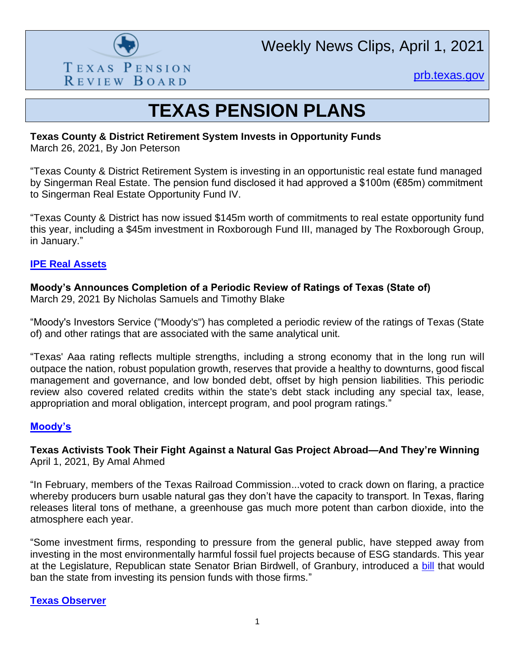

Weekly News Clips, April 1, 2021

[prb.texas.gov](http://www.prb.texas.gov/)

# **TEXAS PENSION PLANS**

# **Texas County & District Retirement System Invests in Opportunity Funds**

March 26, 2021, By Jon Peterson

"Texas County & District Retirement System is investing in an opportunistic real estate fund managed by Singerman Real Estate. The pension fund disclosed it had approved a \$100m (€85m) commitment to Singerman Real Estate Opportunity Fund IV.

"Texas County & District has now issued \$145m worth of commitments to real estate opportunity fund this year, including a \$45m investment in Roxborough Fund III, managed by The Roxborough Group, in January."

### **[IPE Real Assets](https://realassets.ipe.com/news/texas-county-and-district-retirement-system-invests-in-opportunity-funds/10051887.article)**

# **Moody's Announces Completion of a Periodic Review of Ratings of Texas (State of)**

March 29, 2021 By Nicholas Samuels and Timothy Blake

"Moody's Investors Service ("Moody's") has completed a periodic review of the ratings of Texas (State of) and other ratings that are associated with the same analytical unit.

"Texas' Aaa rating reflects multiple strengths, including a strong economy that in the long run will outpace the nation, robust population growth, reserves that provide a healthy to downturns, good fiscal management and governance, and low bonded debt, offset by high pension liabilities. This periodic review also covered related credits within the state's debt stack including any special tax, lease, appropriation and moral obligation, intercept program, and pool program ratings."

# **[Moody's](https://www.moodys.com/research/Moodys-announces-completion-of-a-periodic-review-of-ratings-of--PR_907039682?cid=7QFRKQSZE021)**

**Texas Activists Took Their Fight Against a Natural Gas Project Abroad—And They're Winning** April 1, 2021, By Amal Ahmed

"In February, members of the Texas Railroad Commission...voted to crack down on flaring, a practice whereby producers burn usable natural gas they don't have the capacity to transport. In Texas, flaring releases literal tons of methane, a greenhouse gas much more potent than carbon dioxide, into the atmosphere each year.

"Some investment firms, responding to pressure from the general public, have stepped away from investing in the most environmentally harmful fossil fuel projects because of ESG standards. This year at the Legislature, Republican state Senator Brian Birdwell, of Granbury, introduced a [bill](https://capitol.texas.gov/BillLookup/History.aspx?LegSess=87R&Bill=SB13) that would ban the state from investing its pension funds with those firms."

#### **[Texas Observer](https://www.texasobserver.org/texas-activists-took-their-fight-against-a-natural-gas-project-abroad-and-theyre-winning/)**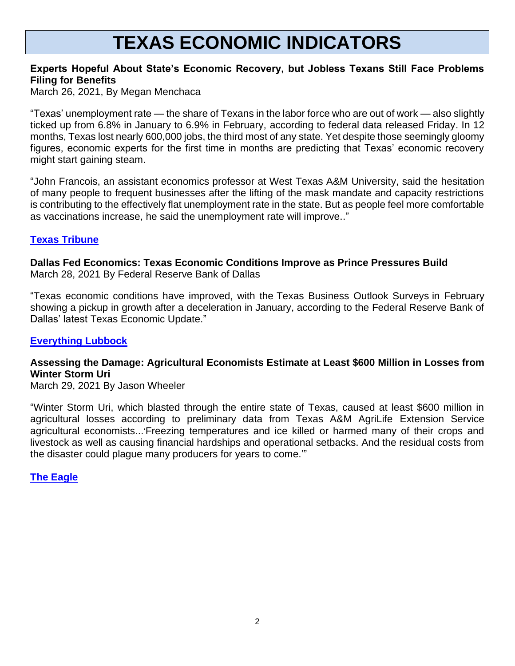# **TEXAS ECONOMIC INDICATORS**

# **Experts Hopeful About State's Economic Recovery, but Jobless Texans Still Face Problems Filing for Benefits**

March 26, 2021, By Megan Menchaca

"Texas' unemployment rate — the share of Texans in the labor force who are out of work — also slightly ticked up from 6.8% in January to 6.9% in February, according to federal data released Friday. In 12 months, Texas lost nearly 600,000 jobs, the third most of any state. Yet despite those seemingly gloomy figures, economic experts for the first time in months are predicting that Texas' economic recovery might start gaining steam.

"John Francois, an assistant economics professor at West Texas A&M University, said the hesitation of many people to frequent businesses after the lifting of the mask mandate and capacity restrictions is contributing to the effectively flat unemployment rate in the state. But as people feel more comfortable as vaccinations increase, he said the unemployment rate will improve.."

#### **[Texas Tribune](https://www.texastribune.org/2021/03/26/texas-unemployment-economic-recovery/)**

**Dallas Fed Economics: Texas Economic Conditions Improve as Prince Pressures Build** March 28, 2021 By Federal Reserve Bank of Dallas

"Texas economic conditions have improved, with the Texas Business Outlook Surveys in February showing a pickup in growth after a deceleration in January, according to the Federal Reserve Bank of Dallas' latest Texas Economic Update."

#### **[Everything Lubbock](https://www.everythinglubbock.com/news/state-regional/dallas-fed-economics-texas-economic-conditions-improve-as-price-pressures-build/)**

# **Assessing the Damage: Agricultural Economists Estimate at Least \$600 Million in Losses from Winter Storm Uri**

March 29, 2021 By Jason Wheeler

"Winter Storm Uri, which blasted through the entire state of Texas, caused at least \$600 million in agricultural losses according to preliminary data from Texas A&M AgriLife Extension Service agricultural economists...'Freezing temperatures and ice killed or harmed many of their crops and livestock as well as causing financial hardships and operational setbacks. And the residual costs from the disaster could plague many producers for years to come.'"

**[The Eagle](https://theeagle.com/landandlivestockpost/agricultural-economists-estimate-at-least-600-million-in-losses-from-winter-storm-uri/article_4513d4a4-8c55-11eb-96f7-877c5bf53baa.html)**